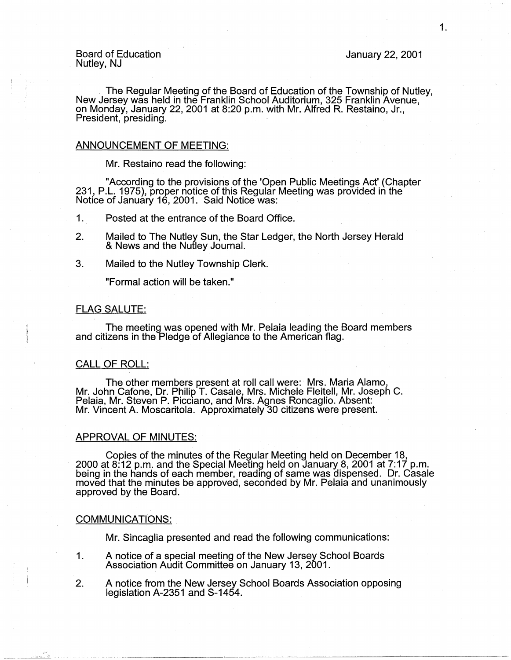Board of Education<br>Nutley, NJ Nutley, NJ January 22, 2001

. The Regular Meeting of the Board of Education of the Township of Nutley, New Jersey was held in the Franklin School Auditorium, 325 Franklin Avenue, on Monday, January 22, 2001 at 8:20 p.m. with Mr. Alfred R. Restaino, Jr., President, presiding.

#### ANNOUNCEMENT OF MEETING:

Mr. Restaino read the following:

"According to the provisions of the 'Open Public Meetings Act' (Chapter 231, P.L. 1975), proper notice of this Regular Meeting was provided in the Notice of January 16, 2001. Said Notice was:

1. Posted at the entrance of the Board Office.

- 2. Mailed to The Nutley Sun, the Star Ledger, the North Jersey Herald & News and the Nutley Journal.
- 3. Mailed to the Nutley Township Clerk.

"Formal action will be taken."

#### FLAG SALUTE:

The meeting was opened with Mr. Pelaia leading the Board members and citizens in the Pledge of Allegiance to the American flag.

#### CALL OF ROLL:

The other members present at roll call were: Mrs. Maria Alamo, Mr. John Catone, Dr. Philip T. Casale, Mrs. Michele Fleitell, Mr. Joseph C. Pelaia, Mr. Steven P. Picciano, and Mrs. Agnes Roncaglio. Absent: Mr. Vincent A. Moscaritola. Approximately 30 citizens were present.

## APPROVAL OF MINUTES:

Copies of the minutes of the Regular Meeting held on December 18, 2000 at 8:12 p.m. and the Special Meeting held onJanuary 8, 2001 at 7:17 p.m. being in the hands of each member, reading of same was dispensed. Dr. Casale moved that the minutes be approved, seconded by Mr. Pelaia and unanimously approved by the Board.

#### COMMUNICATIONS:

Mr. Sincaglia presented and read the following communications:

- 1. A notice of a special meeting of the New Jersey School Boards Association Audit Committee on January 13, 2001.
- 2. A notice from the New Jersey School Boards Association opposing legislation A-2351 and S-1454.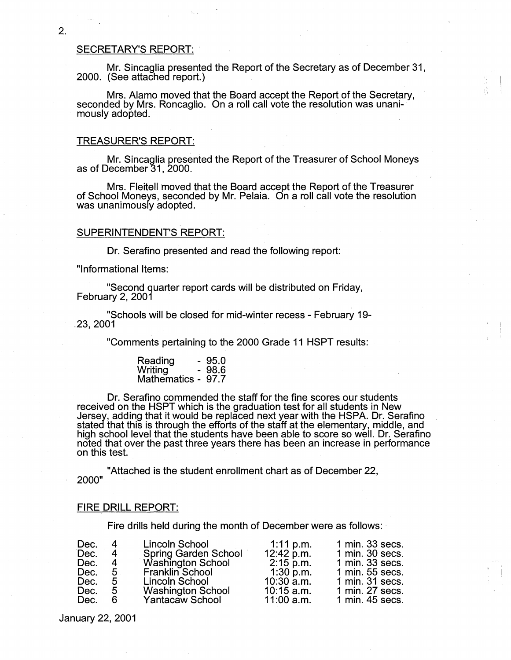#### SECRETARY'S REPORT:

Mr. Sincaglia presented the Report of the Secretary as of December 31, 2000. (See attached report.)

Mrs. Alamo moved that the Board accept the Report of the Secretary, seconded by Mrs. Roncaglio. On a roll call vote the resolution was unani-<br>mously adopted.

#### TREASURER'S REPORT:

Mr. Sincaglia presented the Report of the Treasurer of School Moneys as of December 31, 2000.

Mrs. Fleitell moved that the Board accept the Report of the Treasurer of School Moneys, seconded by Mr. Pelaia. On a roll call vote the resolution was unanimously adopted.

#### **SUPERINTENDENT'S REPORT:**

Dr. Serafino presented and read the following report:

"Informational Items:

"Second quarter report cards will be distributed on Friday, February 2, 2001

"Schools will be closed for mid-winter recess - February 19- .23, 2001 ·

"Comments pertaining to the 2000 Grade 11 HSPT results:

| Reading            | - 95.0 |
|--------------------|--------|
| <b>Writing</b>     | - 98.6 |
| Mathematics - 97.7 |        |

Dr. Serafino commended the staff for the fine scores our students received on the HSPT which is the graduation test for all students in New Jersey, adding that it would be replaced next year with the HSPA. Dr. Serafino . .<br>stated that this is through the efforts of the staff at the elementary, middle, and high school level that the students have been able to score so well. Dr. Serafino noted that over the past three years there has been an increase in performance<br>on this test.

"Attached is the student enrollment chart as of December 22, 2000"

#### **FIRE DRILL REPORT:**

Fire drills held during the month of December were as follows:

| Dec. | 4    | Lincoln School              | 1:11 p.m.    | 1 min. 33 secs. |
|------|------|-----------------------------|--------------|-----------------|
| Dec. | 4    | <b>Spring Garden School</b> | 12:42 p.m.   | 1 min. 30 secs. |
| Dec. | 4    | Washington School           | $2:15$ p.m.  | 1 min. 33 secs. |
| Dec. | $-5$ | Franklin School             | $1:30$ p.m.  | 1 min. 55 secs. |
| Dec. | 5    | Lincoln School              | $10:30$ a.m. | 1 min. 31 secs. |
| Dec. | 5    | <b>Washington School</b>    | $10:15$ a.m. | 1 min. 27 secs. |
| Dec. | 6    | Yantacaw School             | $11:00$ a.m. | 1 min. 45 secs. |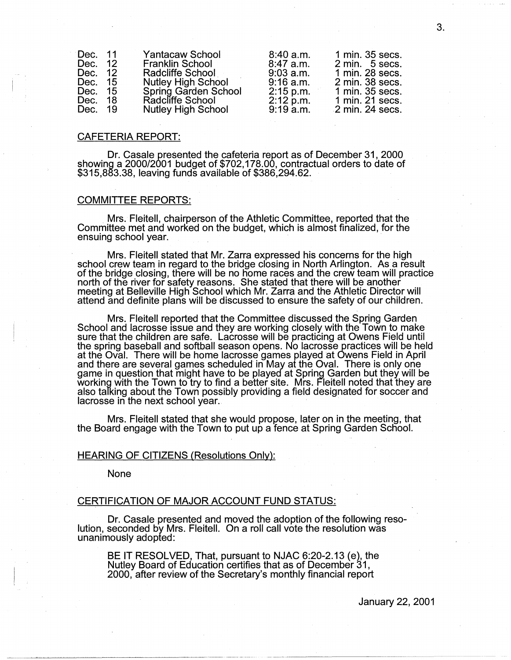| Dec. 11: |                 | Yantacaw School           | 8:40 a.m.   | 1 min. 35 secs. |
|----------|-----------------|---------------------------|-------------|-----------------|
| Dec.     | 12 <sup>°</sup> | <b>Franklin School</b>    | .8:47 a.m.  | 2 min. 5 secs.  |
| Dec. 12  |                 | Radcliffe School          | $9:03$ a.m. | 1 min. 28 secs. |
| Dec. 15  |                 | <b>Nutley High School</b> | 9:16 a.m.   | 2 min. 38 secs. |
| Dec. 15  |                 | Spring Garden School      | $2:15$ p.m. | 1 min. 35 secs. |
| Dec. 18  |                 | Radcliffe School          | 2:12 p.m.   | 1 min. 21 secs. |
| Dec. 19  |                 | <b>Nutley High School</b> | 9:19a.m.    | 2 min. 24 secs. |
|          |                 |                           |             |                 |

#### CAFETERIA REPORT:

Dr. Casale presented the cafeteria report as of December 31, 2000 showing a 2000/2001 budget of \$702,178.00, contractual orders to date of \$315,883.38, leaving funds available of \$386,294.62.

#### COMMITTEE REPORTS:

Mrs. Fleitell, chairperson of the Athletic Committee, reported that the Committee met and worked on the budget, which is almost finalized, for the ensuing school year.

· Mrs. Fleitell stated that Mr. Zarra expressed his concerns for the high school crew team in regard to the bridge closing in North Arlington. As a result of the bridge closing, there will be no home races and the crew team will practice<br>north of the river for safety reasons. She stated that there will be another meeting at Belleville High School which Mr. Zarra and the Athletic Director will attend and definite plans will be discussed to ensure the safety of our children.

Mrs. Fleitell reported that the Committee discussed the Spring Garden School and lacrosse issue and they are working closely with the Town to make sure that the children are safe. Lacrosse will be practicing at Owens Field until the spring baseball and softball season opens. No lacrosse practices will be held at the Oval. There will be home lacrosse games played at Owens Field in April and there are several games scheduled in May at the Oval. There is only one game in question that might have to be played at Spring Garden but they will be working with the Town to try to find a better site. Mrs. Fleitell noted that they are also talking about the Town possibly providing a field designated for soccer and lacrosse in the next school year.

Mrs. Fleitell stated that she would propose, later on in the meeting, that the Board engage with the Town to put up a fence at Spring Garden School.

#### HEARING OF CITIZENS (Resolutions Only):

None

#### CERTIFICATION OF MAJOR ACCOUNT FUND STATUS:

Dr. Casale presented and moved the adoption of the following reso- lution, seconded by Mrs. Fleitell. On a roll call vote the resolution was unanimously adopted:

BE IT RESOLVED, That, pursuant to NJAC 6:20-2.13 (e), the Nutley Board of Education certifies that as of December 31, 2000, after review of the Secretary's monthly financial report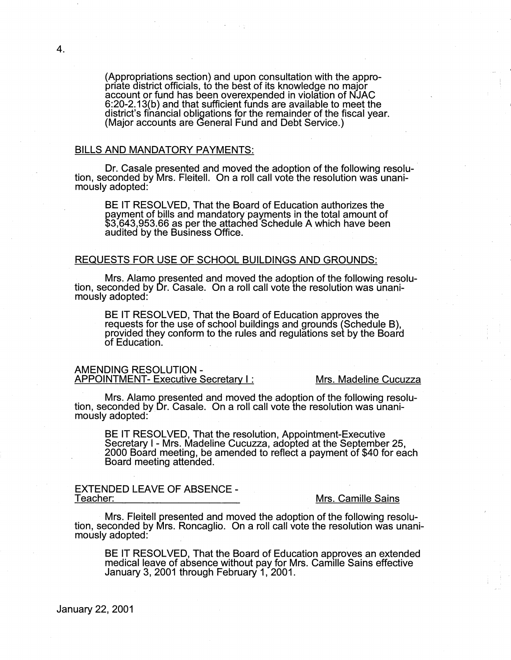(Appropriations section) and upon consultation with the approaccount or fund has been overexpended in violation of NJAC 6:20-2.13(b) and that sufficient funds are available to meet the district's financial obligations for the remainder of the fiscal year. (Major accounts are General Fund and Debt Service.)

#### BILLS **AND MANDATORY PAYMENTS:**

Dr. Casale presented and moved the adoption of the following resolu- tion, seconded by Mrs. Fleitell. On a roll call vote the resolution was unanimously adopted: .

BE IT RESOLVED, That the Board of Education authorizes the payment of bills and mandatory payments in the total amount of \$3,643,953.66 as per the attached Schedule A which have been audited by the Business Office.

#### REQUESTS FOR USE OF SCHOOL BUILDINGS AND GROUNDS:

Mrs. Alamo presented and moved the adoption of the following resolu- tion, seconded by Dr. Casale. On a roll call vote the resolution was unanimously adopted: .

BE IT RESOLVED, That the Board of Education approves the requests for the use of school buildings and grounds (Schedule B), provided they conform to the rules and regulations set by the Board of Education.

#### AMENDING RESOLUTION - APPOINTMENT- Executive Secretary I: Mrs. Madeline Cucuzza

Mrs. Alamo presented and moved the adoption of the following resolu- tion, seconded by Dr. Casale. On a roll call vote the resolution was unanimously adopted:

BE IT RESOLVED, That the resolution, Appointment-Executive Secretary I - Mrs. Madeline Cucuzza, adopted at the September 25, 2000 Board meeting, be amended to reflect a payment of \$40 for each Board meeting attended.

# EXTENDED LEAVE OF ABSENCE -

#### Mrs. Camille Sains

· Mrs. Fleitell presented and moved the adoption of the following resolu- tion, seconded by Mrs. Roncaglio. On a roll call vote the resolution was unanimously adopted: .

BE IT RESOLVED, That the Board of Education approves an extended medical leave of absence without pay for Mrs. Camille Sains effective January 3, 2001 through February 1, 2001.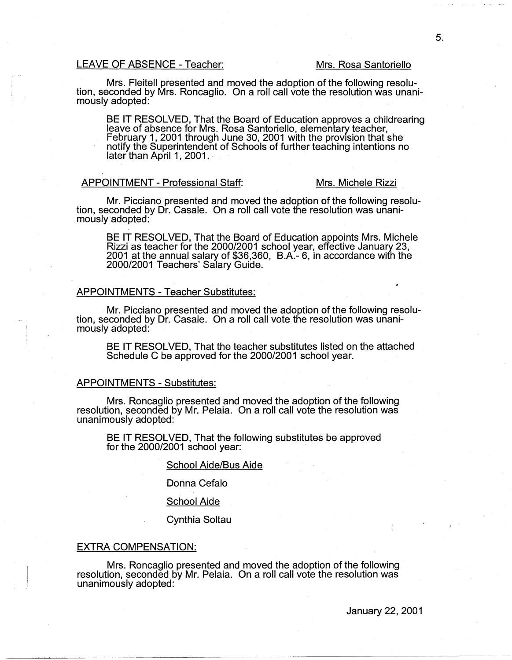#### LEAVE OF ABSENCE - Teacher: Mrs. Rosa Santoriello

Mrs. Fleitell presented and moved the adoption of the following resolu- tion, seconded by Mrs. Roncaglio. On a roll call vote the resolution was unanimously adopted:

BE IT RESOLVED, That the Board of Education approves a childrearing leave of absence for Mrs. Rosa Santoriella, elementary teacher, February 1, 2001 through June 30, 2001 with the provision that she notify the Superintendent of Schools of further teaching intentions no later than April 1, 2001. · ·

#### APPOINTMENT - Professional Staff: Mrs. Michele Rizzi

Mr. Picciano presented and moved the adoption of the following resolu- tion, seconded by Dr. Casale. On a roll call vote the resolution was unanimously adopted:

BE IT RESOLVED, That the Board of Education appoints Mrs. Michele Rizzi as teacher for the 2000/2001 school year, effective January 23, 2001 at the annual salary of \$36,360, B.A.- 6, in accordance with the 2000/2001 Teachers' Salary Guide.

#### APPOINTMENTS - Teacher Substitutes:

Mr. Picciano presented and moved the adoption of the following resolu- tion, seconded by Dr. Casale. On a roll call vote the resolution was unanimously adopted:

BE IT RESOLVED, That the teacher substitutes listed on the attached Schedule C be approved for the 2000/2001 school year.

#### APPOINTMENTS - Substitutes:

Mrs. Roncaglio presented and moved the adoption of the following resolution, seconded by Mr. Pelaia. On a roll call vote the resolution was unanimously adopted:

BE IT RESOLVED, That the following substitutes be approved for the  $2000/2001$  school year:

#### School Aide/Bus Aide

Donna Cefalo

School Aide

Cynthia Soltau

#### EXTRA COMPENSATION:

Mrs; Roncaglio presented and moved the adoption of the following resolution, seconded by Mr. Pelaia. On a roll call vote the resolution was unanimously adopted: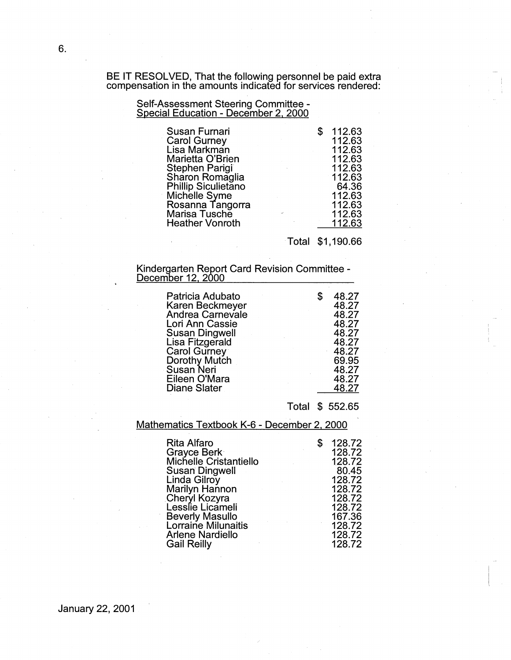BE IT RESOLVED, That the following personnel be paid extra compensation in the amounts indicated for services rendered:

#### Self-Assessment Steering Committee - Special Education - December 2, 2000

| Susan Furnari              | 112.63 |
|----------------------------|--------|
| <b>Carol Gurney</b>        | 112.63 |
| Lisa Markman               | 112.63 |
| Marietta O'Brien           | 112.63 |
| <b>Stephen Parigi</b>      | 112.63 |
| Sharon Romaglia            | 112.63 |
| <b>Phillip Siculietano</b> | 64.36  |
| Michelle Syme              | 112.63 |
| Rosanna Tangorra           | 112.63 |
| Marisa Tusche              | 112.63 |
| <b>Heather Vonroth</b>     | 112.63 |

Total \$1;190.66

#### Kindergarten Report Card Revision Committee - <u>December 12, 2000 </u>

### Total \$ 552.65

Mathematics Textbook K-6 - December 2. 2000

| <b>Rita Alfaro</b>         |               | 128.72 |
|----------------------------|---------------|--------|
| Grayce Berk                |               | 128.72 |
| Michelle Cristantiello     |               | 128.72 |
| <b>Susan Dingwell</b>      |               | 80.45  |
| Linda Gilroy               |               | 128.72 |
| Marilyn Hannon             |               | 128.72 |
| Cheryl Kozyra              |               | 128.72 |
| Lesslie Licameli           |               | 128.72 |
| <b>Beverly Masullo</b>     |               | 167.36 |
| <b>Lorraine Milunaitis</b> | $\sim$ $\sim$ | 128.72 |
| <b>Arlene Nardiello</b>    |               | 128.72 |
| <b>Gail Reilly</b>         |               | 128.72 |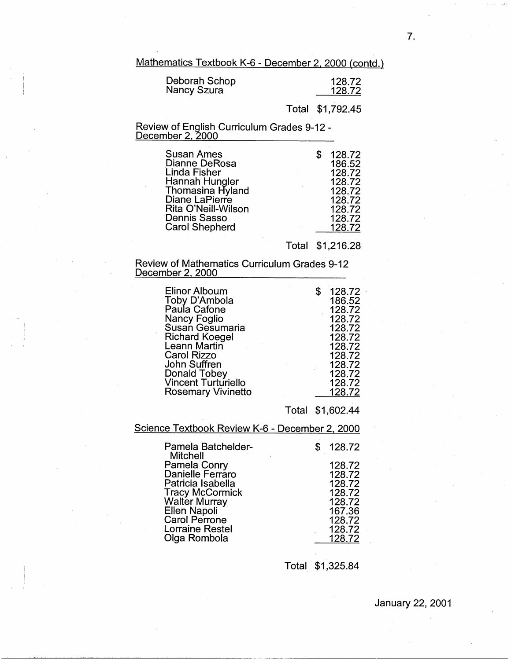Mathematics Textbook K-6 - December 2, 2000 (contd.)

| Deborah Schop | 128.72 |
|---------------|--------|
| Nancy Szura   | 128.72 |
|               |        |

Total \$1,792.45

Review of English Curriculum Grades 9-12 - December 2, 2000

| Susan Ames<br>Dianne DeRosa<br>Linda Fisher<br>Hannah Hungler<br>Thomasina Hyland<br>Diane LaPierre<br>Rita O'Neill-Wilson<br>Dennis Sasso<br><b>Carol Shepherd</b> |  | 128.72<br>186.52<br>128.72<br>$-128.72$<br>$-128.72$<br>128.72<br>128.72<br>128.72<br>128.72 |
|---------------------------------------------------------------------------------------------------------------------------------------------------------------------|--|----------------------------------------------------------------------------------------------|
|---------------------------------------------------------------------------------------------------------------------------------------------------------------------|--|----------------------------------------------------------------------------------------------|

Total \$1,216.28

#### Review of Mathematics Curriculum Grades 9-12 December 2, 2000

| Elinor Alboum<br>Toby D'Ambola<br>Paula Cafone<br>Nancy Foglio<br>Susan Gesumaria<br><b>Richard Koegel</b><br>Leann Martin<br><b>Carol Rizzo</b><br><b>John Suffren</b> | 128.72<br>186.52<br>128.72<br>128.72<br>128.72<br>128.72<br>128.72<br>128.72<br>128.72 |
|-------------------------------------------------------------------------------------------------------------------------------------------------------------------------|----------------------------------------------------------------------------------------|
|                                                                                                                                                                         |                                                                                        |
| Donald Tobey                                                                                                                                                            | 128.72                                                                                 |
| <b>Vincent Turturiello</b>                                                                                                                                              | 128.72                                                                                 |
| <b>Rosemary Vivinetto</b>                                                                                                                                               | 128.72                                                                                 |

Total \$1,602.44

# Science Textbook Review K-6 - December 2, 2000

| Pamela Batchelder-<br><b>Mitchell</b>       | 128.72           |
|---------------------------------------------|------------------|
| Pamela Conry                                | 128.72           |
| Danielle Ferraro                            | 128.72           |
| Patricia Isabella<br><b>Tracy McCormick</b> | 128.72<br>128.72 |
| <b>Walter Murray</b>                        | 128.72           |
| Ellen Napoli                                | 167.36           |
| <b>Carol Perrone</b>                        | 128.72           |
| <b>Lorraine Restel</b>                      | 128.72           |
| Olga Rombola                                | 128.72           |

Total \$1,325.84

7.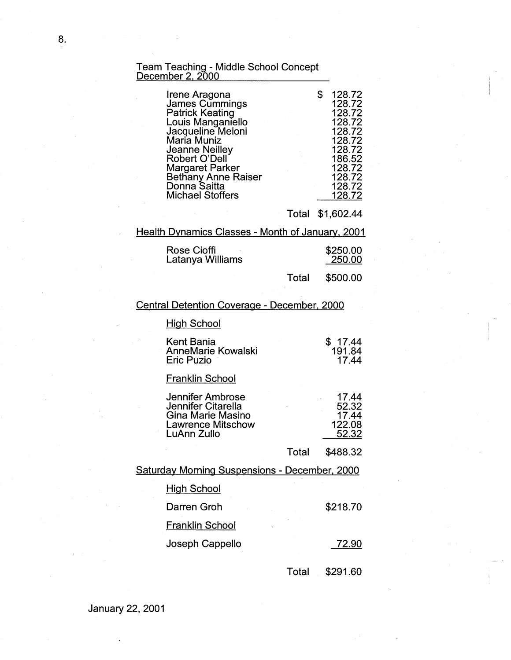#### Team Teaching - Middle School Concept <u>December 2, 2000 </u>

| Irene Aragona<br><b>James Cummings</b><br><b>Patrick Keating</b><br>Louis Manganiello<br>Jacqueline Meloni<br>Maria Muniz<br><b>Jeanne Neilley</b><br><b>Robert O'Dell</b><br><b>Margaret Parker</b><br>Bethany Anne Raiser<br>Donna Saitta<br><b>Michael Stoffers</b> | 128.72<br>128.72<br>128.72<br>128.72<br>128.72<br>128.72<br>128.72<br>186.52<br>128.72<br>128.72<br>128.72<br>128.72 |
|------------------------------------------------------------------------------------------------------------------------------------------------------------------------------------------------------------------------------------------------------------------------|----------------------------------------------------------------------------------------------------------------------|
|                                                                                                                                                                                                                                                                        |                                                                                                                      |

Total \$1,602.44

Health Dynamics Classes - Month of January, 2001

| Rose Cioffi      | \$250.00 |
|------------------|----------|
| Latanya Williams | 250.00   |

Total \$500.00

# Central Detention Coverage - December, 2000

# **High School**

| Kent Bania         | \$17.44 |
|--------------------|---------|
| AnneMarie Kowalski | 191.84  |
| Eric Puzio         | 17 44   |

# Franklin School

| Jennifer Ambrose         | 17.44  |
|--------------------------|--------|
| Jennifer Citarella       | 52.32  |
| Gina Marie Masino        | 17.44  |
| <b>Lawrence Mitschow</b> | 122.08 |
| LuAnn Zullo              | 52.32  |
|                          |        |

Total \$488.32

### Saturday Morning Suspensions - December, 2000

| <b>High School</b>     |          |
|------------------------|----------|
| Darren Groh            | \$218.70 |
| <b>Franklin School</b> |          |
| Joseph Cappello        | -72.90   |
|                        |          |

Total \$291.60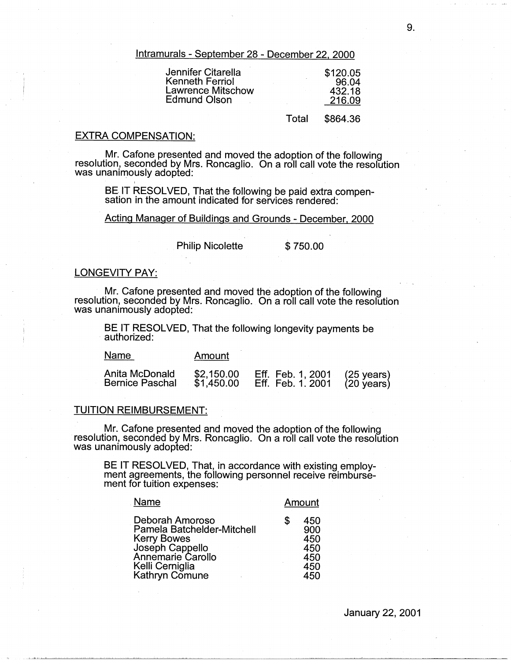lntramurals - September 28 - December 22, 2000

| Jennifer Citarella | \$120.05 |
|--------------------|----------|
| Kenneth Ferriol    | 96.04    |
| Lawrence Mitschow  | 432.18   |
| Edmund Olson       | 216.09   |
|                    |          |

### Total \$864.36

#### EXTRA COMPENSATION:

I

Mr. Catone presented and moved the adoption of the following resolution, seconded by Mrs. Roncaglio. On a roll call vote the resolution was unanimously adopted:

BE IT RESOLVED, That the following be paid extra compensation in the amount indicated for services rendered:

Acting Manager of Buildings and Grounds - December, 2000

Philip Nicolette \$750.00

#### LONGEVITY **PAY:**

Mr. Catone presented and moved the adoption of the following resolution, seconded by Mrs. Roncaglio. On a roll call vote the resolution was unanimously adopted:

BE IT RESOLVED, That the following longevity payments be authorized:

| Name                                     | Amount                   |                                                              |  |
|------------------------------------------|--------------------------|--------------------------------------------------------------|--|
| Anita McDonald<br><b>Bernice Paschal</b> | \$2,150.00<br>\$1,450.00 | Eff. Feb. 1, 2001 (25 years)<br>Eff. Feb. 1. 2001 (20 years) |  |

#### TUITION REIMBURSEMENT:

Mr. Catone presented and moved the adoption of the following resolution, seconded by Mrs. Roncaglio. On a roll call vote the resolution was unanimously adopted:

BE IT RESOLVED, That, in accordance with existing employment agreements, the following personnel receive reimbursement for tuition expenses:

| Name                                                                                                                                             | Amount                                              |
|--------------------------------------------------------------------------------------------------------------------------------------------------|-----------------------------------------------------|
| Deborah Amoroso<br>Pamela Batchelder-Mitchell<br><b>Kerry Bowes</b><br>Joseph Cappello<br>Annemarie Carollo<br>Kelli Cerniglia<br>Kathryn Comune | \$<br>450<br>900<br>450<br>450<br>450<br>450<br>450 |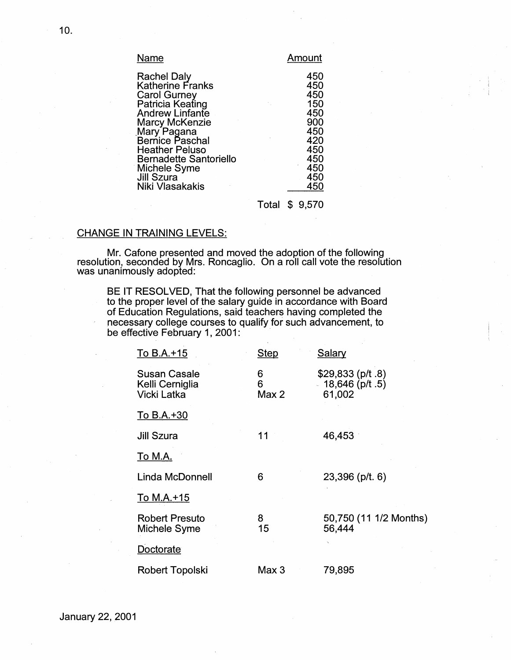| Name                          | Amount |
|-------------------------------|--------|
| <b>Rachel Daly</b>            | 450    |
| <b>Katherine Franks</b>       | 450    |
| <b>Carol Gurney</b>           | 450    |
| Patricia Keating              | 150    |
| <b>Andrew Linfante</b>        | 450    |
| <b>Marcy McKenzie</b>         | 900    |
| Mary Pagana                   | 450    |
| Bernice Paschal               | 420    |
| <b>Heather Peluso</b>         | 450    |
| <b>Bernadette Santoriello</b> | 450    |
| Michele Syme                  | 450    |
| <b>Jill Szura</b>             | 450    |
| Niki Vlasakakis               | 450    |

Total \$ 9,570

# CHANGE IN TRAINING LEVELS:

Mr. Cafone presented and moved the adoption of the following resolution, seconded by Mrs. Roncaglio. On a roll call vote the resolution was unanimously adopted:

BE IT RESOLVED, That the following personnel be advanced to the proper level of the salary guide in accordance with Board of Education Regulations, said teachers having completed the necessary college courses to qualify for such advancement, to be effective February 1, 2001:

| To B.A.+15                                     | <b>Step</b>     | <b>Salary</b>                                  |
|------------------------------------------------|-----------------|------------------------------------------------|
| Susan Casale<br>Kelli Cerniglia<br>Vicki Latka | 6<br>6<br>Max 2 | $$29,833$ (p/t .8)<br>18,646 (p/t.5)<br>61,002 |
| To B.A.+30                                     |                 |                                                |
| Jill Szura                                     | 11              | 46,453                                         |
| <u>To M.A.</u>                                 |                 |                                                |
| Linda McDonnell                                | 6               | $23,396$ (p/t. 6)                              |
| To M.A.+15                                     |                 |                                                |
| <b>Robert Presuto</b><br>Michele Syme          | 8<br>15         | 50,750 (11 1/2 Months)<br>56,444               |
| Doctorate                                      |                 |                                                |
| Robert Topolski                                | Max 3           | 79,895                                         |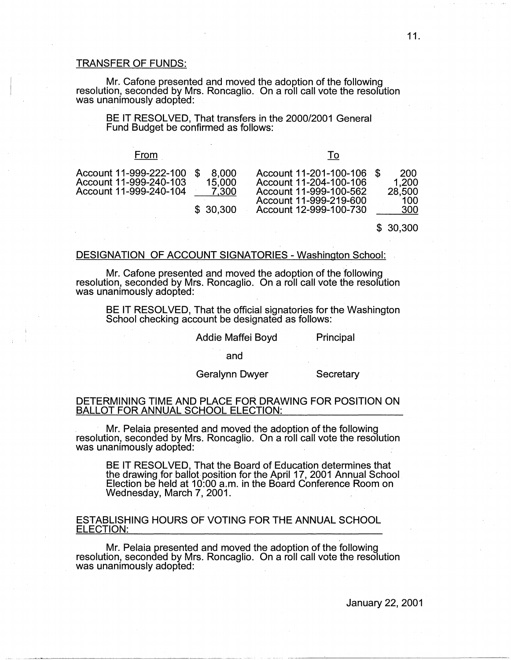#### TRANSFER OF FUNDS:

Mr. Cafone presented and moved the adoption of the following resolution, seconded by Mrs. Roncaglio. On a roll call vote the resolution was unanimously adopted:

BE IT RESOLVED, That transfers in the 2000/2001 General Fund Budget be confirmed as follows:

| From                                                                          |                                      |                                                                                                                                |                                      |
|-------------------------------------------------------------------------------|--------------------------------------|--------------------------------------------------------------------------------------------------------------------------------|--------------------------------------|
| Account 11-999-222-100 \$<br>Account 11-999-240-103<br>Account 11-999-240-104 | 8,000<br>15.000<br>7,300<br>\$30,300 | Account 11-201-100-106<br>Account 11-204-100-106<br>Account 11-999-100-562<br>Account 11-999-219-600<br>Account 12-999-100-730 | 200<br>1.200<br>28,500<br>100<br>300 |

\$ 30,300

#### DESIGNATION OF ACCOUNT SIGNATORIES - Washington School:

Mr. Cafone presented and moved the adoption of the following resolution, seconded by Mrs. Roncaglio. On a roll call vote the resolution was unanimously adopted:

BE IT RESOLVED, That the official signatories for the Washington School checking account be designated as follows:

Addie Maffei Boyd

and

Geralynn Dwyer

**Secretary** 

Principal

#### DETERMINING TIME AND PLACE FOR DRAWING FOR POSITION ON BALLOT FOR ANNUAL SCHOOL ELECTION:

. · Mr. Pelaia presented and moved the adoption of the following resolution, seconded by Mrs. Roncaglio. On a roll call vote the resolution was unanimously adopted:

BE IT RESOLVED, That the Board of Education determines that the drawing for ballot position for the April 17, 2001 Annual School Election be held at 10:00 a.m. in the Board Conference Room on Wednesday, March 7, 2001.

#### ESTABLISHING HOURS OF VOTING FOR THE ANNUAL SCHOOL ELECTION:

Mr. Pelaia presented and moved the adoption of the following resolution, seconded by Mrs. Roncaglio. On a roll call vote the resolution was unanimously adopted: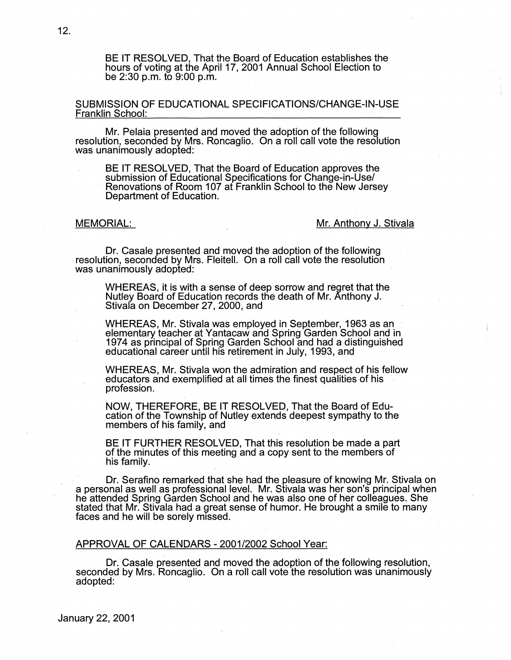BE IT RESOLVED, That the Board of Education establishes the hours of voting at the April 17, 2001 Annual School Election to be 2:30 p.m. to 9:00 p.m.

SUBMISSION OF EDUCATIONAL SPECIFICATIONS/CHANGE-IN-USE Franklin School:

Mr. Pelaia presented and moved the adoption of the following resolution, seconded by Mrs. Roncaglio. On a roll call vote the resolution was unanimously adopted:

BE IT RESOLVED, That the Board of Education approves the submission of Educational Specifications for Change-in-Use/ Renovations of Room 107 at Franklin School to the New Jersey Department of Education.

#### MEMORIAL: *MEMORIAL:* **MEMORIAL:** *MEMORIAL:* **MEMORIAL:** *MEMORIAL: MEMORIAL: MEMORIAL: MEMORIAL: MEMORIAL: MEMORIAL: MEMORIAL: MEMORIAL: MEMORIAL: MEMORIAL:* **<b>***MEMORIAL: MEMOR*

Dr. Casale presented and moved the adoption of the following resolution, seconded by Mrs. Fleitell. On a roll call vote the resolution was unanimously adopted:

WHEREAS, it is with a sense of deep sorrow and regret that the Nutley Board of Education records the death of Mr. Anthony J. Stivala on December 27, 2000, and

WHEREAS, Mr. Stivala was employed in September, 1963 as an elementary teacher at Yantacaw and Spring Garden School and in 1974 as principal of Spring Garden School and had a distinguished educational career until his retirement in July, 1993, and

WHEREAS, Mr. Stivala won the admiration and respect of his fellow educators and exemplified at all times the finest qualities of his profession.

**NOW,** THEREFORE, BE IT RESOLVED, That the Board of Education of the Township of Nutley extends deepest sympathy to the members of his family, and

BE IT FURTHER RESOLVED, That this resolution be made a part of the minutes of this meeting and a copy sent to the members of his family.

Dr. Serafino remarked that she had the pleasure of knowing Mr. Stivala on a personal as well as professional level. Mr. Stivala was her son's principal when he attended Spring Garden School and he was also one of her colleagues. She stated that Mr. Stivala had a great sense of humor. He brought a smile to many faces and he will be sorely missed.

#### APPROVAL OF CALENDARS -2001/2002 School Year:

Dr. Casale presented and moved the adoption of the following resolution, seconded by Mrs. Roncaglio. On a roll call vote the resolution was unanimously adopted: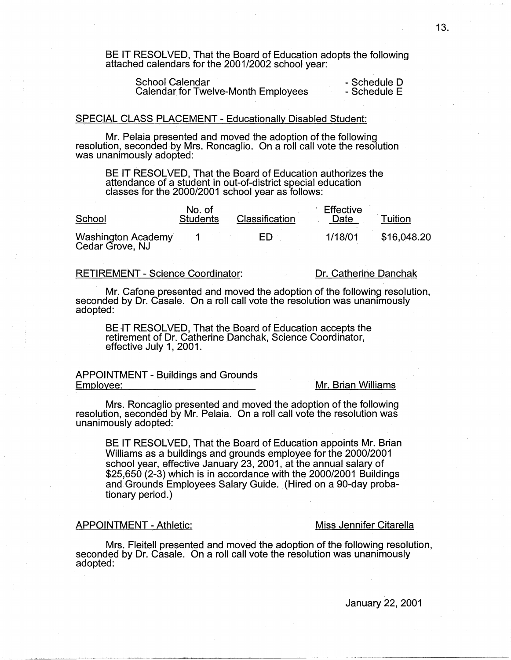BE IT RESOLVED, That the Board of Education adopts the following attached calendars for the 2001/2002 school year:

School Calendar **- Schedule D**<br>Calendar for Twelve-Month Employees - Schedule E Calendar for Twelve-Month Employees

#### SPECIAL CLASS PLACEMENT - Educationally Disabled Student:

Mr. Pelaia presented and moved the adoption of the following resolution, seconded by Mrs. Roncaglio. On a roll call vote the resolution was unanimously adopted:

BE IT RESOLVED, That the Board of Education authorizes the attendance of a student in out-of-district special education classes for the 2000/2001 school year as follows:

| School                                | No. of<br><b>Students</b> | Classification | Effective<br>Date | Tuition     |
|---------------------------------------|---------------------------|----------------|-------------------|-------------|
| Washington Academy<br>Cedar Grove, NJ |                           | ED.            | 1/18/01           | \$16,048.20 |

#### RETIREMENT - Science Coordinator:

Dr. Catherine Danchak

Mr. Catone presented and moved the adoption of the following resolution, seconded by Dr. Casale. On a roll call vote the resolution was unanimously adopted:

BE IT RESOLVED, That the Board of Education accepts the retirement of Dr. Catherine Danchak, Science Coordinator, effective July 1, 2001.

#### APPOINTMENT - Buildings and Grounds Employee: Mr. Brian Williams

Mrs. Roncaglio presented and moved the adoption of the following resolution, seconded by Mr. Pelaia. On a roll call vote the resolution was unanimously adopted:

BE IT RESOLVED, That the Board of Education appoints Mr. Brian Williams as a buildings and grounds employee for the 2000/2001 school year, effective January 23, 2001, at the annual salary of \$25,650 (2-3) which is in accordance with the 2000/2001 Buildings and Grounds Employees Salary Guide. (Hired on a 90-day probationary period.)

### APPOINTMENT - Athletic: Miss Jennifer Citarella

Mrs. Fleitell presented and moved the adoption of the following resolution, seconded by Dr. Casale. On a roll call vote the resolution was unanimously adopted: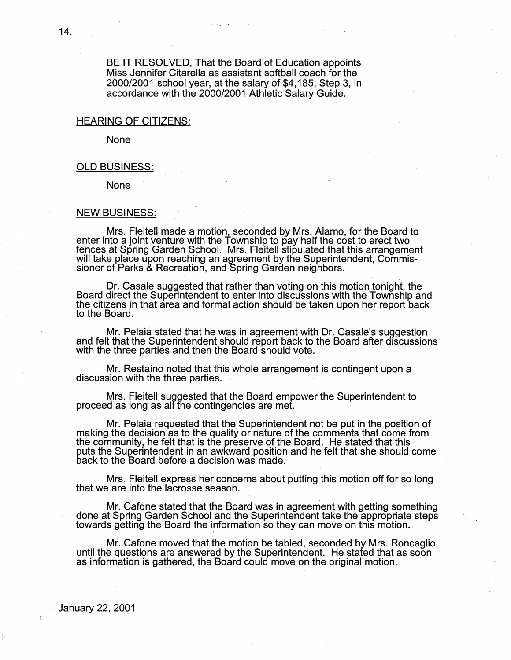BE IT RESOLVED, That the Board of Education appoints Miss Jennifer Citarella as assistant softball coach for the 2000/2001 school year, at the salary of \$4,185, Step 3, in accordance with the 2000/2001 Athletic Salary Guide.

#### HEARING OF CITIZENS:

None

#### OLD BUSINESS:

None

#### NEW BUSINESS:

Mrs. Fleitell made a motion, seconded by Mrs. Alamo, for the Board to enter into a joint venture with the Township to pay half the cost to erect two fences at Spring Garden School. Mrs. Fleitell stipulated that this arrangement will take place upon reaching an agreement by the Superintendent, Commis- sioner of Parks & Recreation, and Spring Garden neighbors.

. Dr. Casale suggested that rather than voting on this motion tonight, the Board direct the Superintendent to enter into discussions with the Township and the citizens in that area and formal action should be taken upon her report back to the Board.

Mr. Pelaia stated that he was in agreement with Dr. Casale's suggestion and felt that the Superintendent should report back to the Board after discussions with the three parties and then the Board should vote.

Mr. Restaino noted that this whole arrangement is contingent upon a discussion with the three parties.

Mrs. Fleitell suggested that the Board empower the Superintendent to proceed as long as alf the contingencies are met.

Mr. Palaia requested that the Superintendent not be put in the position of making the decision as to the quality or nature of the comments that come from the community, he felt that is the preserve of the Board. He stated that this puts the Superintendent in an awkward position and he felt that she should come back to the Board before a decision was made.

· Mrs. Fleitell express her concerns about putting this motion off for so long that we are into the lacrosse season.

Mr. Catone stated that the Board was in agreement with getting something done at Spring Garden School and the Superintendent take the appropriate steps towards getting the Board the information so they can move on this motion.

Mr. Catone moved that the motion be tabled, seconded by Mrs. Roncaglio, until the questions are answered by the Superintendent. He stated that as soon as information is gathered, the Board could move on the original motion.